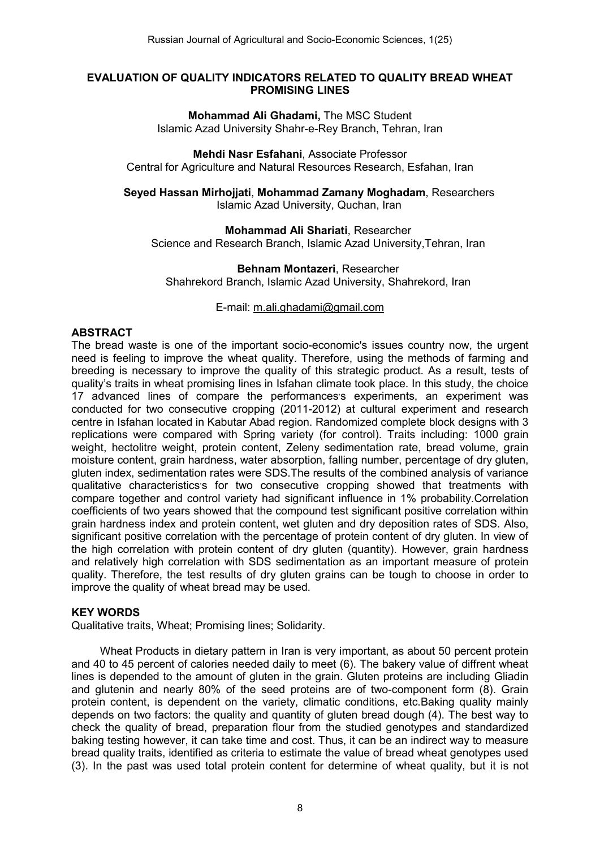#### EVALUATION OF QUALITY INDICATORS RELATED TO QUALITY BREAD WHEAT PROMISING LINES

Mohammad Ali Ghadami, The MSC Student Islamic Azad University Shahr-e-Rey Branch, Tehran, Iran

Mehdi Nasr Esfahani, Associate Professor Central for Agriculture and Natural Resources Research, Esfahan, Iran

Seyed Hassan Mirhojjati, Mohammad Zamany Moghadam, Researchers Islamic Azad University, Quchan, Iran

Mohammad Ali Shariati, Researcher Science and Research Branch, Islamic Azad University,Tehran, Iran

Behnam Montazeri, Researcher Shahrekord Branch, Islamic Azad University, Shahrekord, Iran

#### E-mail: [m.ali.ghadami@gmail.com](mailto:m.ali.ghadami@gmail.com)

## **ABSTRACT**

The bread waste is one of the important socio-economic's issues country now, the urgent need is feeling to improve the wheat quality. Therefore, using the methods of farming and breeding is necessary to improve the quality of this strategic product. As a result, tests of quality's traits in wheat promising lines in Isfahan climate took place. In this study, the choice 17 advanced lines of compare the performances s experiments, an experiment was conducted for two consecutive cropping (2011-2012) at cultural experiment and research centre in Isfahan located in Kabutar Abad region. Randomized complete block designs with 3 replications were compared with Spring variety (for control). Traits including: 1000 grain weight, hectolitre weight, protein content, Zeleny sedimentation rate, bread volume, grain moisture content, grain hardness, water absorption, falling number, percentage of dry gluten, gluten index, sedimentation rates were SDS.The results of the combined analysis of variance qualitative characteristics's for two consecutive cropping showed that treatments with compare together and control variety had significant influence in 1% probability.Correlation coefficients of two years showed that the compound test significant positive correlation within grain hardness index and protein content, wet gluten and dry deposition rates of SDS. Also, significant positive correlation with the percentage of protein content of dry gluten. In view of the high correlation with protein content of dry gluten (quantity). However, grain hardness and relatively high correlation with SDS sedimentation as an important measure of protein quality. Therefore, the test results of dry gluten grains can be tough to choose in order to improve the quality of wheat bread may be used.

### KEY WORDS

Qualitative traits, Wheat; Promising lines; Solidarity.

Wheat Products in dietary pattern in Iran is very important, as about 50 percent protein and 40 to 45 percent of calories needed daily to meet (6). The bakery value of diffrent wheat lines is depended to the amount of gluten in the grain. Gluten proteins are including Gliadin and glutenin and nearly 80% of the seed proteins are of two-component form (8). Grain protein content, is dependent on the variety, climatic conditions, etc.Baking quality mainly depends on two factors: the quality and quantity of gluten bread dough (4). The best way to check the quality of bread, preparation flour from the studied genotypes and standardized baking testing however, it can take time and cost. Thus, it can be an indirect way to measure bread quality traits, identified as criteria to estimate the value of bread wheat genotypes used (3). In the past was used total protein content for determine of wheat quality, but it is not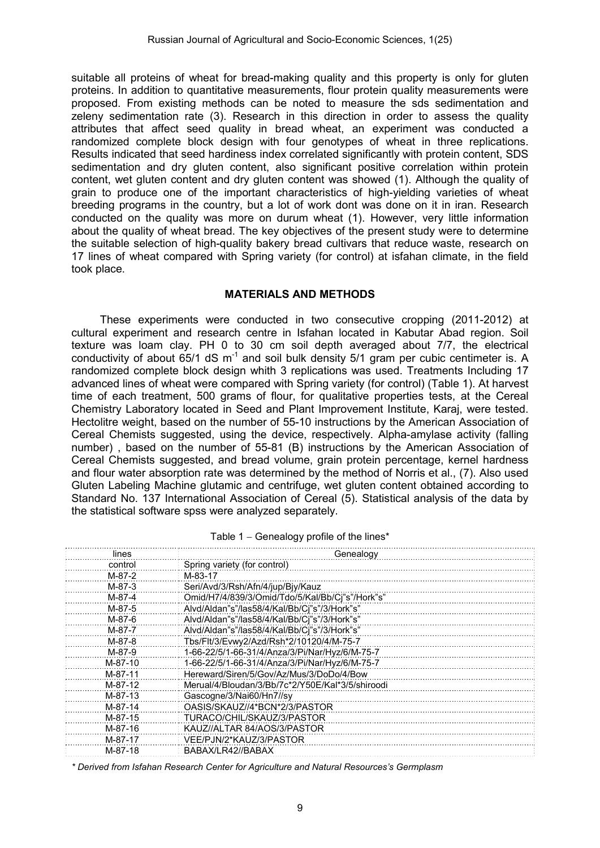suitable all proteins of wheat for bread-making quality and this property is only for gluten proteins. In addition to quantitative measurements, flour protein quality measurements were proposed. From existing methods can be noted to measure the sds sedimentation and zeleny sedimentation rate (3). Research in this direction in order to assess the quality attributes that affect seed quality in bread wheat, an experiment was conducted a randomized complete block design with four genotypes of wheat in three replications. Results indicated that seed hardiness index correlated significantly with protein content, SDS sedimentation and dry gluten content, also significant positive correlation within protein content, wet gluten content and dry gluten content was showed (1). Although the quality of grain to produce one of the important characteristics of high-yielding varieties of wheat breeding programs in the country, but a lot of work dont was done on it in iran. Research conducted on the quality was more on durum wheat (1). However, very little information about the quality of wheat bread. The key objectives of the present study were to determine the suitable selection of high-quality bakery bread cultivars that reduce waste, research on 17 lines of wheat compared with Spring variety (for control) at isfahan climate, in the field took place.

### MATERIALS AND METHODS

These experiments were conducted in two consecutive cropping (2011-2012) at cultural experiment and research centre in Isfahan located in Kabutar Abad region. Soil texture was loam clay. PH 0 to 30 cm soil depth averaged about 7/7, the electrical conductivity of about  $65/1$  dS m<sup>-1</sup> and soil bulk density  $5/1$  gram per cubic centimeter is. A randomized complete block design whith 3 replications was used. Treatments Including 17 advanced lines of wheat were compared with Spring variety (for control) (Table 1). At harvest time of each treatment, 500 grams of flour, for qualitative properties tests, at the Cereal Chemistry Laboratory located in Seed and Plant Improvement Institute, Karaj, were tested. Hectolitre weight, based on the number of 55-10 instructions by the American Association of Cereal Chemists suggested, using the device, respectively. Alpha-amylase activity (falling number) , based on the number of 55-81 (B) instructions by the American Association of Cereal Chemists suggested, and bread volume, grain protein percentage, kernel hardness and flour water absorption rate was determined by the method of Norris et al., (7). Also used Gluten Labeling Machine glutamic and centrifuge, wet gluten content obtained according to Standard No. 137 International Association of Cereal (5). Statistical analysis of the data by the statistical software spss were analyzed separately.

| lines    | Genealogy                                        |
|----------|--------------------------------------------------|
| control  | Spring variety (for control)                     |
| M-87-2   | M-83-17                                          |
| $M-87-3$ | Seri/Avd/3/Rsh/Afn/4/jup/Bjy/Kauz                |
| M-87-4   | Omid/H7/4/839/3/Omid/Tdo/5/Kal/Bb/Ci"s"/Hork"s"  |
| M-87-5   | Alvd/Aldan"s"/las58/4/Kal/Bb/Cj"s"/3/Hork"s"     |
| M-87-6   | Alvd/Aldan"s"/las58/4/Kal/Bb/Ci"s"/3/Hork"s"     |
| M-87-7   | Alvd/Aldan"s"/las58/4/Kal/Bb/Ci"s"/3/Hork"s"     |
| M-87-8   | Tbs/Flt/3/Evwy2/Azd/Rsh*2/10120/4/M-75-7         |
| M-87-9   | 1-66-22/5/1-66-31/4/Anza/3/Pi/Nar/Hyz/6/M-75-7   |
| M-87-10  | 1-66-22/5/1-66-31/4/Anza/3/Pi/Nar/Hyz/6/M-75-7   |
| M-87-11  | Hereward/Siren/5/Gov/Az/Mus/3/DoDo/4/Bow         |
| M-87-12  | Merual/4/Bloudan/3/Bb/7c*2/Y50E/Kal*3/5/shiroodi |
| M-87-13  | Gascogne/3/Nai60/Hn7//sy                         |
| M-87-14  | OASIS/SKAUZ//4*BCN*2/3/PASTOR                    |
| M-87-15  | TURACO/CHIL/SKAUZ/3/PASTOR                       |
| M-87-16  | KAUZ//ALTAR 84/AOS/3/PASTOR                      |
| M-87-17  | VEE/PJN/2*KAUZ/3/PASTOR                          |
| M-87-18  | BABAX/LR42//BABAX                                |

|  | Table 1 – Genealogy profile of the lines* |  |  |  |
|--|-------------------------------------------|--|--|--|
|--|-------------------------------------------|--|--|--|

*\* Derived from Isfahan Research Center for Agriculture and Natural Resources's Germplasm*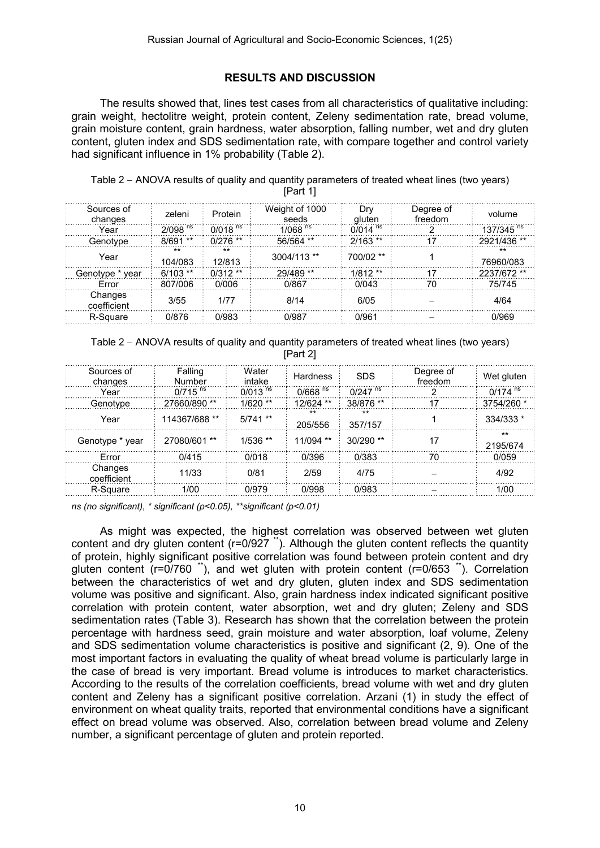### RESULTS AND DISCUSSION

The results showed that, lines test cases from all characteristics of qualitative including: grain weight, hectolitre weight, protein content, Zeleny sedimentation rate, bread volume, grain moisture content, grain hardness, water absorption, falling number, wet and dry gluten content, gluten index and SDS sedimentation rate, with compare together and control variety had significant influence in 1% probability (Table 2).

Table 2 - ANOVA results of quality and quantity parameters of treated wheat lines (two years) [Part 1]

| Sources of<br>changes  | zeleni                | Protein                | Weight of 1000<br>seeds | Drv<br>aluten         | Degree of<br>freedom | volume                 |
|------------------------|-----------------------|------------------------|-------------------------|-----------------------|----------------------|------------------------|
| Year                   | $2/098$ <sup>ns</sup> | 0/018 $\mathrm{^{ns}}$ | $1/068$ <sup>ns</sup>   | $0/014$ <sup>ns</sup> |                      | 137/345 $\frac{1}{10}$ |
| Genotype               | $8/691**$             | $0/276$ **             | $56/564$ **             | $2/163$ **            | 17                   | 2921/436 **            |
| Year                   | $**$<br>104/083       | $***$<br>12/813        | $3004/113$ **           | 700/02 **             |                      | $**$<br>76960/083      |
| Genotype * year        | $6/103$ **            | $0/312**$              | 29/489 **               | $1/812**$             | 17                   | 2237/672 **            |
| Frror                  | 807/006               | 0/006                  | 0/867                   | 0/043                 | 70                   | 75/745                 |
| Changes<br>coefficient | 3/55                  | 1/77                   | 8/14                    | 6/05                  |                      | 4/64                   |
| R-Square               | 0/876                 | 0/983                  | 0/987                   | 0/961                 |                      | 0/969                  |

Table 2 – ANOVA results of quality and quantity parameters of treated wheat lines (two years) [Part 2]

| Sources of<br>changes  | Falling<br>Number     | Water<br>intake       | Hardness              | <b>SDS</b>            | Degree of<br>freedom | Wet gluten            |
|------------------------|-----------------------|-----------------------|-----------------------|-----------------------|----------------------|-----------------------|
| Year                   | $0/715$ <sup>ns</sup> | $0/013$ <sup>ns</sup> | $0/668$ <sup>ns</sup> | $0/247$ <sup>ns</sup> |                      | $0/174$ <sup>ns</sup> |
| Genotype               | 27660/890 **          | $1/620$ **            | 12/624 **             | 38/876 **             | 17                   | 3754/260 *            |
| Year                   | 114367/688 **         | $5/741$ **            | $***$<br>205/556      | $***$<br>357/157      |                      | 334/333 *             |
| Genotype * year        | 27080/601 **          | $1/536$ **            | $11/094$ **           | $30/290$ **           |                      | $***$<br>2195/674     |
| Frror                  | 0/415                 | 0/018                 | 0/396                 | 0/383                 | 70                   | 0/059                 |
| Changes<br>coefficient | 11/33                 | 0/81                  | 2/59                  | 4/75                  |                      | 4/92                  |
| R-Square               | 1/00                  | 0/979                 | 0/998                 | 0/983                 |                      | 1/00                  |

*ns (no significant), \* significant (p<0.05), \*\*significant (p<0.01)*

As might was expected, the highest correlation was observed between wet gluten content and dry gluten content ( $r=0/927$  \*). Although the gluten content reflects the quantity of protein, highly significant positive correlation was found between protein content and dry gluten content ( $r=0/760$ <sup>\*\*</sup>), and wet gluten with protein content ( $r=0/653$ <sup>\*\*</sup>). Correlation between the characteristics of wet and dry gluten, gluten index and SDS sedimentation volume was positive and significant. Also, grain hardness index indicated significant positive correlation with protein content, water absorption, wet and dry gluten; Zeleny and SDS sedimentation rates (Table 3). Research has shown that the correlation between the protein percentage with hardness seed, grain moisture and water absorption, loaf volume, Zeleny and SDS sedimentation volume characteristics is positive and significant (2, 9). One of the most important factors in evaluating the quality of wheat bread volume is particularly large in the case of bread is very important. Bread volume is introduces to market characteristics. According to the results of the correlation coefficients, bread volume with wet and dry gluten content and Zeleny has a significant positive correlation. Arzani (1) in study the effect of environment on wheat quality traits, reported that environmental conditions have a significant effect on bread volume was observed. Also, correlation between bread volume and Zeleny number, a significant percentage of gluten and protein reported.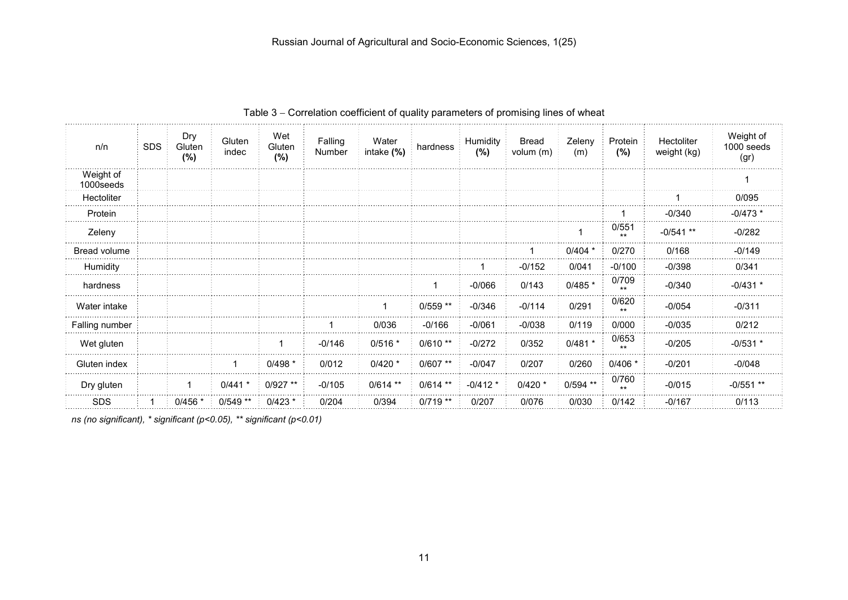| n/n                     | <b>SDS</b> | Dry<br>Gluten<br>(%) | Gluten<br>indec | Wet<br>Gluten<br>(%) | Falling<br>Number | Water<br>intake (%) | hardness   | <b>Humidity</b><br>(%) | <b>Bread</b><br>volum (m) | Zeleny<br>(m) | Protein<br>(%) | Hectoliter<br>weight (kg) | Weight of<br>1000 seeds<br>(gr) |
|-------------------------|------------|----------------------|-----------------|----------------------|-------------------|---------------------|------------|------------------------|---------------------------|---------------|----------------|---------------------------|---------------------------------|
| Weight of<br>1000 seeds |            |                      |                 |                      |                   |                     |            |                        |                           |               |                |                           |                                 |
| Hectoliter              |            |                      |                 |                      |                   |                     |            |                        |                           |               |                |                           | 0/095                           |
| Protein                 |            |                      |                 |                      |                   |                     |            |                        |                           |               |                | $-0/340$                  | $-0/473*$                       |
| Zeleny                  |            |                      |                 |                      |                   |                     |            |                        |                           |               | 0/551          | $-0/541$ **               | $-0/282$                        |
| Bread volume            |            |                      |                 |                      |                   |                     |            |                        |                           | $0/404$ *     | 0/270          | 0/168                     | $-0/149$                        |
| Humidity                |            |                      |                 |                      |                   |                     |            |                        | $-0/152$                  | 0/041         | $-0/100$       | $-0/398$                  | 0/341                           |
| hardness                |            |                      |                 |                      |                   |                     | 1          | $-0/066$               | 0/143                     | $0/485$ *     | 0/709          | $-0/340$                  | $-0/431$ *                      |
| Water intake            |            |                      |                 |                      |                   | 1                   | $0/559$ ** | $-0/346$               | $-0/114$                  | 0/291         | 0/620          | $-0/054$                  | $-0/311$                        |
| Falling number          |            |                      |                 |                      |                   | 0/036               | $-0/166$   | $-0/061$               | $-0/038$                  | 0/119         | 0/000          | $-0/035$                  | 0/212                           |
| Wet gluten              |            |                      |                 | 1                    | $-0/146$          | $0/516*$            | $0/610**$  | $-0/272$               | 0/352                     | $0/481$ *     | 0/653          | $-0/205$                  | $-0/531$ *                      |
| Gluten index            |            |                      |                 | $0/498$ *            | 0/012             | $0/420$ *           | $0/607$ ** | $-0/047$               | 0/207                     | 0/260         | $0/406$ *      | $-0/201$                  | $-0/048$                        |
| Dry gluten              |            |                      | $0/441$ *       | $0/927**$            | $-0/105$          | $0/614$ **          | $0/614$ ** | $-0/412*$              | $0/420$ *                 | $0/594$ **    | 0/760          | $-0/015$                  | $-0/551$ **                     |
| <b>SDS</b>              |            | $0/456$ *            | $0/549$ **      | $0/423$ *            | 0/204             | 0/394               | $0/719$ ** | 0/207                  | 0/076                     | 0/030         | 0/142          | $-0/167$                  | 0/113                           |

Table 3 - Correlation coefficient of quality parameters of promising lines of wheat

*ns (no significant), \* significant (p<0.05), \*\* significant (p<0.01)*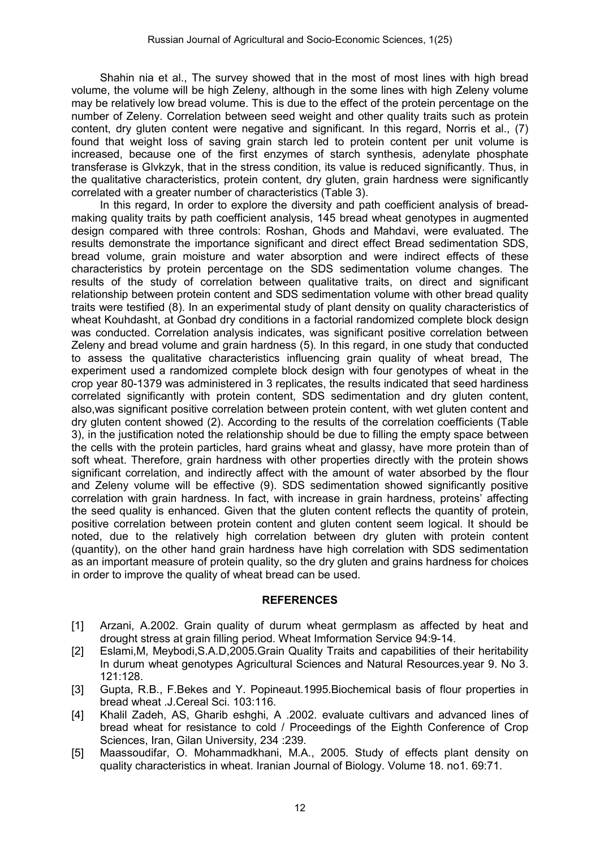Shahin nia et al., The survey showed that in the most of most lines with high bread volume, the volume will be high Zeleny, although in the some lines with high Zeleny volume may be relatively low bread volume. This is due to the effect of the protein percentage on the number of Zeleny. Correlation between seed weight and other quality traits such as protein content, dry gluten content were negative and significant. In this regard, Norris et al., (7) found that weight loss of saving grain starch led to protein content per unit volume is increased, because one of the first enzymes of starch synthesis, adenylate phosphate transferase is Glvkzyk, that in the stress condition, its value is reduced significantly. Thus, in the qualitative characteristics, protein content, dry gluten, grain hardness were significantly correlated with a greater number of characteristics (Table 3).

In this regard, In order to explore the diversity and path coefficient analysis of breadmaking quality traits by path coefficient analysis, 145 bread wheat genotypes in augmented design compared with three controls: Roshan, Ghods and Mahdavi, were evaluated. The results demonstrate the importance significant and direct effect Bread sedimentation SDS, bread volume, grain moisture and water absorption and were indirect effects of these characteristics by protein percentage on the SDS sedimentation volume changes. The results of the study of correlation between qualitative traits, on direct and significant relationship between protein content and SDS sedimentation volume with other bread quality traits were testified (8). In an experimental study of plant density on quality characteristics of wheat Kouhdasht, at Gonbad dry conditions in a factorial randomized complete block design was conducted. Correlation analysis indicates, was significant positive correlation between Zeleny and bread volume and grain hardness (5). In this regard, in one study that conducted to assess the qualitative characteristics influencing grain quality of wheat bread, The experiment used a randomized complete block design with four genotypes of wheat in the crop year 80-1379 was administered in 3 replicates, the results indicated that seed hardiness correlated significantly with protein content, SDS sedimentation and dry gluten content, also,was significant positive correlation between protein content, with wet gluten content and dry gluten content showed (2). According to the results of the correlation coefficients (Table 3), in the justification noted the relationship should be due to filling the empty space between the cells with the protein particles, hard grains wheat and glassy, have more protein than of soft wheat. Therefore, grain hardness with other properties directly with the protein shows significant correlation, and indirectly affect with the amount of water absorbed by the flour and Zeleny volume will be effective (9). SDS sedimentation showed significantly positive correlation with grain hardness. In fact, with increase in grain hardness, proteins' affecting the seed quality is enhanced. Given that the gluten content reflects the quantity of protein, positive correlation between protein content and gluten content seem logical. It should be noted, due to the relatively high correlation between dry gluten with protein content (quantity), on the other hand grain hardness have high correlation with SDS sedimentation as an important measure of protein quality, so the dry gluten and grains hardness for choices in order to improve the quality of wheat bread can be used.

# REFERENCES

- [1] Arzani, A.2002. Grain quality of durum wheat germplasm as affected by heat and drought stress at grain filling period. Wheat Imformation Service 94:9-14.
- [2] Eslami, M, Meybodi, S.A.D, 2005. Grain Quality Traits and capabilities of their heritability In durum wheat genotypes Agricultural Sciences and Natural Resources.year 9. No 3. 121:128.
- [3] Gupta, R.B., F.Bekes and Y. Popineaut.1995.Biochemical basis of flour properties in bread wheat .J.Cereal Sci. 103:116.
- [4] Khalil Zadeh, AS, Gharib eshghi, A .2002. evaluate cultivars and advanced lines of bread wheat for resistance to cold / Proceedings of the Eighth Conference of Crop Sciences, Iran, Gilan University, 234 :239.
- [5] Maassoudifar, O. Mohammadkhani, M.A., 2005. Study of effects plant density on quality characteristics in wheat. Iranian Journal of Biology. Volume 18. no1. 69:71.